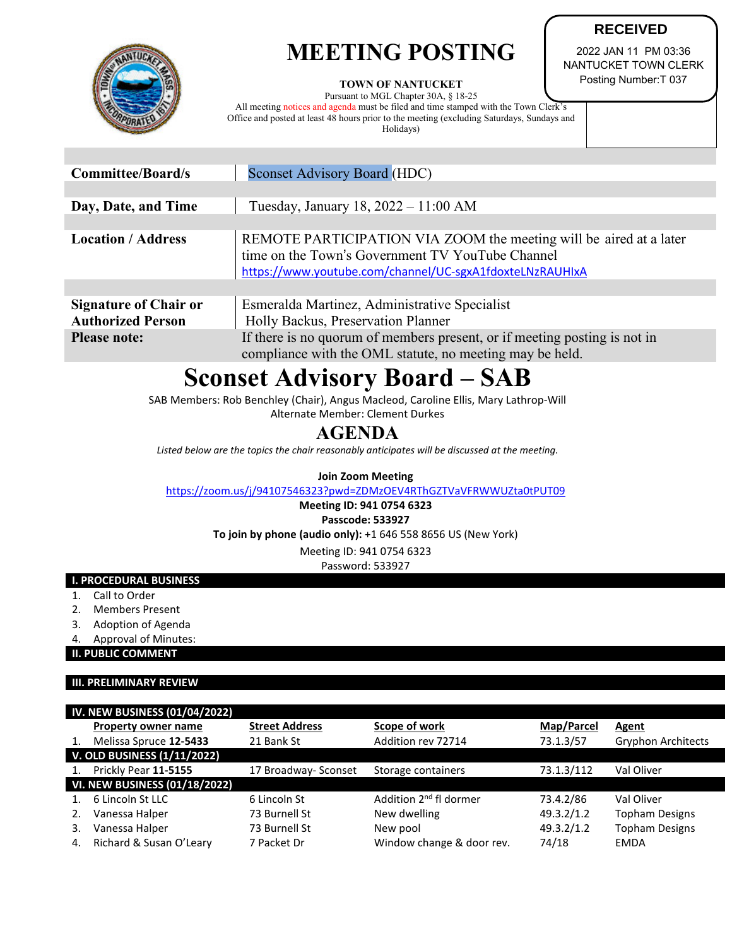# **MEETING POSTING**



#### **TOWN OF NANTUCKET**

Pursuant to MGL Chapter 30A, § 18-25 All meeting notices and agenda must be filed and time stamped with the Town Clerk's Office and posted at least 48 hours prior to the meeting (excluding Saturdays, Sundays and Holidays)

2022 JAN 11 PM 03:36 NANTUCKET TOWN CLERK Posting Number:T 037

**RECEIVED**

| <b>Committee/Board/s</b>                                 | <b>Sconset Advisory Board (HDC)</b>                                                                                                                                                |  |  |
|----------------------------------------------------------|------------------------------------------------------------------------------------------------------------------------------------------------------------------------------------|--|--|
|                                                          |                                                                                                                                                                                    |  |  |
| Day, Date, and Time                                      | Tuesday, January 18, 2022 - 11:00 AM                                                                                                                                               |  |  |
|                                                          |                                                                                                                                                                                    |  |  |
| <b>Location / Address</b>                                | REMOTE PARTICIPATION VIA ZOOM the meeting will be aired at a later<br>time on the Town's Government TV YouTube Channel<br>https://www.youtube.com/channel/UC-sgxA1fdoxteLNzRAUHIxA |  |  |
|                                                          |                                                                                                                                                                                    |  |  |
| <b>Signature of Chair or</b><br><b>Authorized Person</b> | Esmeralda Martinez, Administrative Specialist<br>Holly Backus, Preservation Planner                                                                                                |  |  |
| <b>Please note:</b>                                      | If there is no quorum of members present, or if meeting posting is not in<br>compliance with the OML statute, no meeting may be held.                                              |  |  |

# **Sconset Advisory Board – SAB**

SAB Members: Rob Benchley (Chair), Angus Macleod, Caroline Ellis, Mary Lathrop-Will

Alternate Member: Clement Durkes

## **AGENDA**

*Listed below are the topics the chair reasonably anticipates will be discussed at the meeting.*

#### **Join Zoom Meeting**

<https://zoom.us/j/94107546323?pwd=ZDMzOEV4RThGZTVaVFRWWUZta0tPUT09>

**Meeting ID: 941 0754 6323 Passcode: 533927**

**To join by phone (audio only):** +1 646 558 8656 US (New York)

Meeting ID: 941 0754 6323

Password: 533927

#### **I. PROCEDURAL BUSINESS**

- 1. Call to Order
- 2. Members Present
- 3. Adoption of Agenda
- 4. Approval of Minutes:

**II. PUBLIC COMMENT**

#### **III. PRELIMINARY REVIEW**

| <b>IV. NEW BUSINESS (01/04/2022)</b> |                                      |                       |                                    |            |                           |  |
|--------------------------------------|--------------------------------------|-----------------------|------------------------------------|------------|---------------------------|--|
|                                      | <b>Property owner name</b>           | <b>Street Address</b> | Scope of work                      | Map/Parcel | Agent                     |  |
|                                      | Melissa Spruce 12-5433               | 21 Bank St            | Addition rev 72714                 | 73.1.3/57  | <b>Gryphon Architects</b> |  |
|                                      | <b>V. OLD BUSINESS (1/11/2022)</b>   |                       |                                    |            |                           |  |
|                                      | Prickly Pear 11-5155                 | 17 Broadway- Sconset  | Storage containers                 | 73.1.3/112 | Val Oliver                |  |
|                                      | <b>VI. NEW BUSINESS (01/18/2022)</b> |                       |                                    |            |                           |  |
|                                      | 6 Lincoln St LLC                     | 6 Lincoln St          | Addition 2 <sup>nd</sup> fl dormer | 73.4.2/86  | Val Oliver                |  |
|                                      | Vanessa Halper                       | 73 Burnell St         | New dwelling                       | 49.3.2/1.2 | <b>Topham Designs</b>     |  |
| 3.                                   | Vanessa Halper                       | 73 Burnell St         | New pool                           | 49.3.2/1.2 | <b>Topham Designs</b>     |  |
| 4.                                   | Richard & Susan O'Leary              | 7 Packet Dr           | Window change & door rev.          | 74/18      | EMDA                      |  |